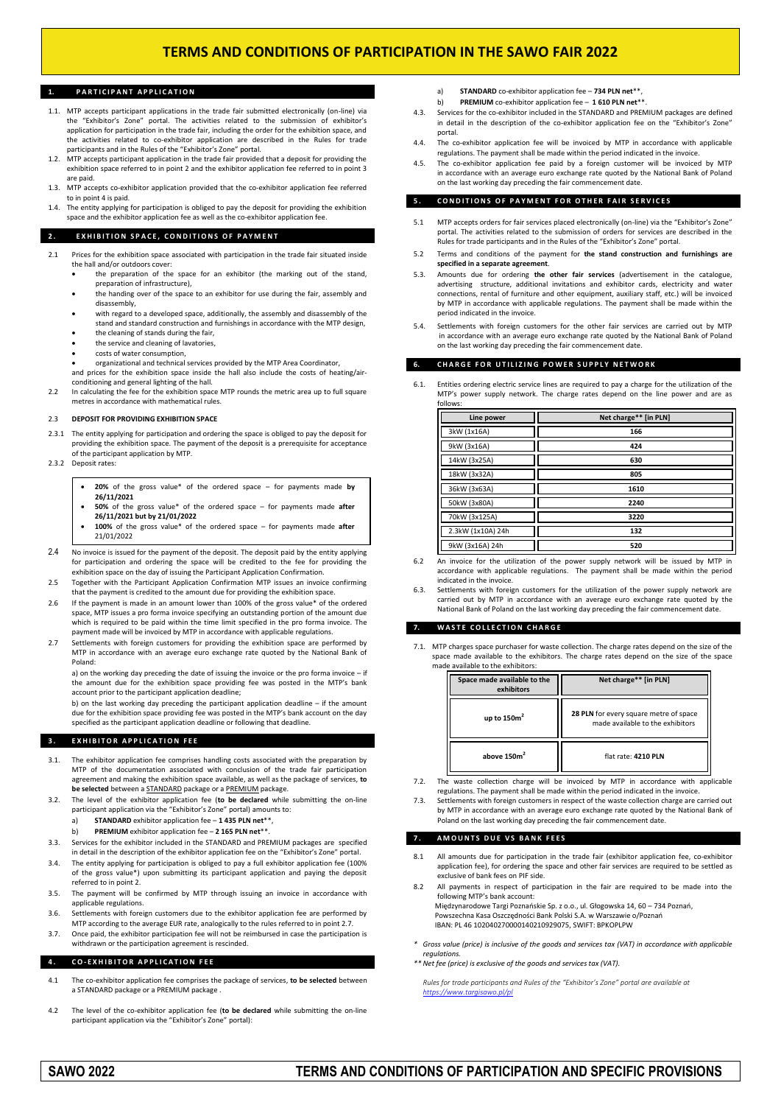## **1. P A R T I C I P A N T A P P L I C A T I O N**

- 1.1. MTP accepts participant applications in the trade fair submitted electronically (on-line) via the "Exhibitor's Zone" portal. The activities related to the submission of exhibitor's application for participation in the trade fair, including the order for the exhibition space, and the activities related to co-exhibitor application are described in the Rules for trade participants and in the Rules of the "Exhibitor's Zone" portal.
- 1.2. MTP accepts participant application in the trade fair provided that a deposit for providing the exhibition space referred to in point 2 and the exhibitor application fee referred to in point 3 are paid.
- 1.3. MTP accepts co-exhibitor application provided that the co-exhibitor application fee referred to in point 4 is paid.
- 1.4. The entity applying for participation is obliged to pay the deposit for providing the exhibition space and the exhibitor application fee as well as the co-exhibitor application fee.

### **2. EXHIBITION SPACE, CONDITIONS OF PAYMENT**

- 2.1 Prices for the exhibition space associated with participation in the trade fair situated inside the hall and/or outdoors cover:
	- the preparation of the space for an exhibitor (the marking out of the stand, preparation of infrastructure),
	- the handing over of the space to an exhibitor for use during the fair, assembly and disassembly,
	- with regard to a developed space, additionally, the assembly and disassembly of the stand and standard construction and furnishings in accordance with the MTP design,
	- the cleaning of stands during the fair,
	- the service and cleaning of lavatories, costs of water consumption,
	-
	- organizational and technical services provided by the MTP Area Coordinator, and prices for the exhibition space inside the hall also include the costs of heating/airconditioning and general lighting of the hall.
- 2.2 In calculating the fee for the exhibition space MTP rounds the metric area up to full square metres in accordance with mathematical rules.

#### 2.3 **DEPOSIT FOR PROVIDING EXHIBITION SPACE**

- The entity applying for participation and ordering the space is obliged to pay the deposit for providing the exhibition space. The payment of the deposit is a prerequisite for acceptance of the participant application by MTP.
- 2.3.2 Deposit rates:
	- **20%** of the gross value\* of the ordered space for payments made **by 26/11/2021**
	- **50%** of the gross value\* of the ordered space for payments made **after 26/11/2021 but by 21/01/2022**
	- **100%** of the gross value\* of the ordered space for payments made **after** 21/01/2022
- 2.4 No invoice is issued for the payment of the deposit. The deposit paid by the entity applying for participation and ordering the space will be credited to the fee for providing the exhibition space on the day of issuing the Participant Application Confirmation.
- 2.5 Together with the Participant Application Confirmation MTP issues an invoice confirming that the payment is credited to the amount due for providing the exhibition space.
- 2.6 If the payment is made in an amount lower than 100% of the gross value\* of the ordered space, MTP issues a pro forma invoice specifying an outstanding portion of the amount due which is required to be paid within the time limit specified in the pro forma invoice. The payment made will be invoiced by MTP in accordance with applicable regulations.
- 2.7 Settlements with foreign customers for providing the exhibition space are performed by MTP in accordance with an average euro exchange rate quoted by the National Bank of Poland:

a) on the working day preceding the date of issuing the invoice or the pro forma invoice – if the amount due for the exhibition space providing fee was posted in the MTP's bank account prior to the participant application deadline;

b) on the last working day preceding the participant application deadline – if the amount due for the exhibition space providing fee was posted in the MTP's bank account on the day specified as the participant application deadline or following that deadline.

## **3. EXHIBITOR APPLICATION FEE**

- 3.1. The exhibitor application fee comprises handling costs associated with the preparation by MTP of the documentation associated with conclusion of the trade fair participation agreement and making the exhibition space available, as well as the package of services, **to be selected** between a STANDARD package or a PREMIUM package.
- 3.2. The level of the exhibitor application fee (**to be declared** while submitting the on-line participant application via the "Exhibitor's Zone" portal) amounts to:
	- a) **STANDARD** exhibitor application fee **1 435 PLN net**\*\*,
	- b) **PREMIUM** exhibitor application fee **2 165 PLN net**\*\*.
- 3.3. Services for the exhibitor included in the STANDARD and PREMIUM packages are specified in detail in the description of the exhibitor application fee on the "Exhibitor's Zone" portal.
- 3.4. The entity applying for participation is obliged to pay a full exhibitor application fee (100% of the gross value\*) upon submitting its participant application and paying the deposit referred to in point 2.
- 3.5. The payment will be confirmed by MTP through issuing an invoice in accordance with applicable regulations.
- 3.6. Settlements with foreign customers due to the exhibitor application fee are performed by MTP according to the average EUR rate, analogically to the rules referred to in point 2.7.
- 3.7. Once paid, the exhibitor participation fee will not be reimbursed in case the participation is withdrawn or the participation agreement is rescinded.

## **4 . C O - E X H I B I T O R A P P L I C A T I O N F E E**

- 4.1 The co-exhibitor application fee comprises the package of services, **to be selected** between a STANDARD package or a PREMIUM package
- 4.2 The level of the co-exhibitor application fee (**to be declared** while submitting the on-line participant application via the "Exhibitor's Zone" portal):
- a) **STANDARD** co-exhibitor application fee **734 PLN net**\*\*,
- b) **PREMIUM** co-exhibitor application fee **1 610 PLN net**\*\*.
- 4.3. Services for the co-exhibitor included in the STANDARD and PREMIUM packages are defined in detail in the description of the co-exhibitor application fee on the "Exhibitor's Zone portal.
- 4.4. The co-exhibitor application fee will be invoiced by MTP in accordance with applicable regulations. The payment shall be made within the period indicated in the invoice.
- 4.5. The co-exhibitor application fee paid by a foreign customer will be invoiced by MTP in accordance with an average euro exchange rate quoted by the National Bank of Poland on the last working day preceding the fair commencement date.

#### **5. CONDITIONS OF PAYMENT FOR OTHER FAIR SERVICES**

- 5.1 MTP accepts orders for fair services placed electronically (on-line) via the "Exhibitor's Zone" portal. The activities related to the submission of orders for services are described in the Rules for trade participants and in the Rules of the "Exhibitor's Zone" portal.
- 5.2 Terms and conditions of the payment for **the stand construction and furnishings are specified in a separate agreement**.
- 5.3. Amounts due for ordering **the other fair services** (advertisement in the catalogue, advertising structure, additional invitations and exhibitor cards, electricity and water connections, rental of furniture and other equipment, auxiliary staff, etc.) will be invoiced by MTP in accordance with applicable regulations. The payment shall be made within the period indicated in the invoice.
- 5.4. Settlements with foreign customers for the other fair services are carried out by MTP in accordance with an average euro exchange rate quoted by the National Bank of Poland on the last working day preceding the fair commencement date

## **CHARGE FOR UTILIZING POWER SUPPLY NETWORK**

6.1. Entities ordering electric service lines are required to pay a charge for the utilization of the MTP's power supply network. The charge rates depend on the line power and are as follows:

| Line power        | Net charge** [in PLN] |
|-------------------|-----------------------|
| 3kW (1x16A)       | 166                   |
| 9kW (3x16A)       | 424                   |
| 14kW (3x25A)      | 630                   |
| 18kW (3x32A)      | 805                   |
| 36kW (3x63A)      | 1610                  |
| 50kW (3x80A)      | 2240                  |
| 70kW (3x125A)     | 3220                  |
| 2.3kW (1x10A) 24h | 132                   |
| 9kW (3x16A) 24h   | 520                   |

- 6.2 An invoice for the utilization of the power supply network will be issued by MTP in accordance with applicable regulations. The payment shall be made within the period indicated in the invoice.
- Settlements with foreign customers for the utilization of the power supply network are carried out by MTP in accordance with an average euro exchange rate quoted by the National Bank of Poland on the last working day preceding the fair commencement date.

## **7. W A S T E C O L L E C T I O N C H A R G E**

7.1. MTP charges space purchaser for waste collection. The charge rates depend on the size of the space made available to the exhibitors. The charge rates depend on the size of the space made available to the exhibitors

| Space made available to the<br>exhibitors | Net charge** [in PLN]                                                      |
|-------------------------------------------|----------------------------------------------------------------------------|
| up to $150m2$                             | 28 PLN for every square metre of space<br>made available to the exhibitors |
| above $150m2$                             | flat rate: 4210 PLN                                                        |

- 7.2. The waste collection charge will be invoiced by MTP in accordance with applicable regulations. The payment shall be made within the period indicated in the invoice.
- 7.3. Settlements with foreign customers in respect of the waste collection charge are carried out by MTP in accordance with an average euro exchange rate quoted by the National Bank of Poland on the last working day preceding the fair commencement date.

## **7 . A M O U N T S D U E V S B A N K F E E S**

- 8.1 All amounts due for participation in the trade fair (exhibitor application fee, co-exhibitor application fee), for ordering the space and other fair services are required to be settled as exclusive of bank fees on PIF side.
- All payments in respect of participation in the fair are required to be made into the following MTP's bank account: Międzynarodowe Targi Poznańskie Sp. z o.o., ul. Głogowska 14, 60 – 734 Poznań, Powszechna Kasa Oszczędności Bank Polski S.A. w Warszawie o/Poznań IBAN: PL 46 102040270000140210929075, SWIFT: BPKOPLPW
- *\* Gross value (price) is inclusive of the goods and services tax (VAT) in accordance with applicable regulations.*
- *\*\* Net fee (price) is exclusive of the goods and services tax (VAT).*

*Rules for trade participants and Rules of the "Exhibitor's Zone" portal are available at <https://www.targisawo.pl/pl>*